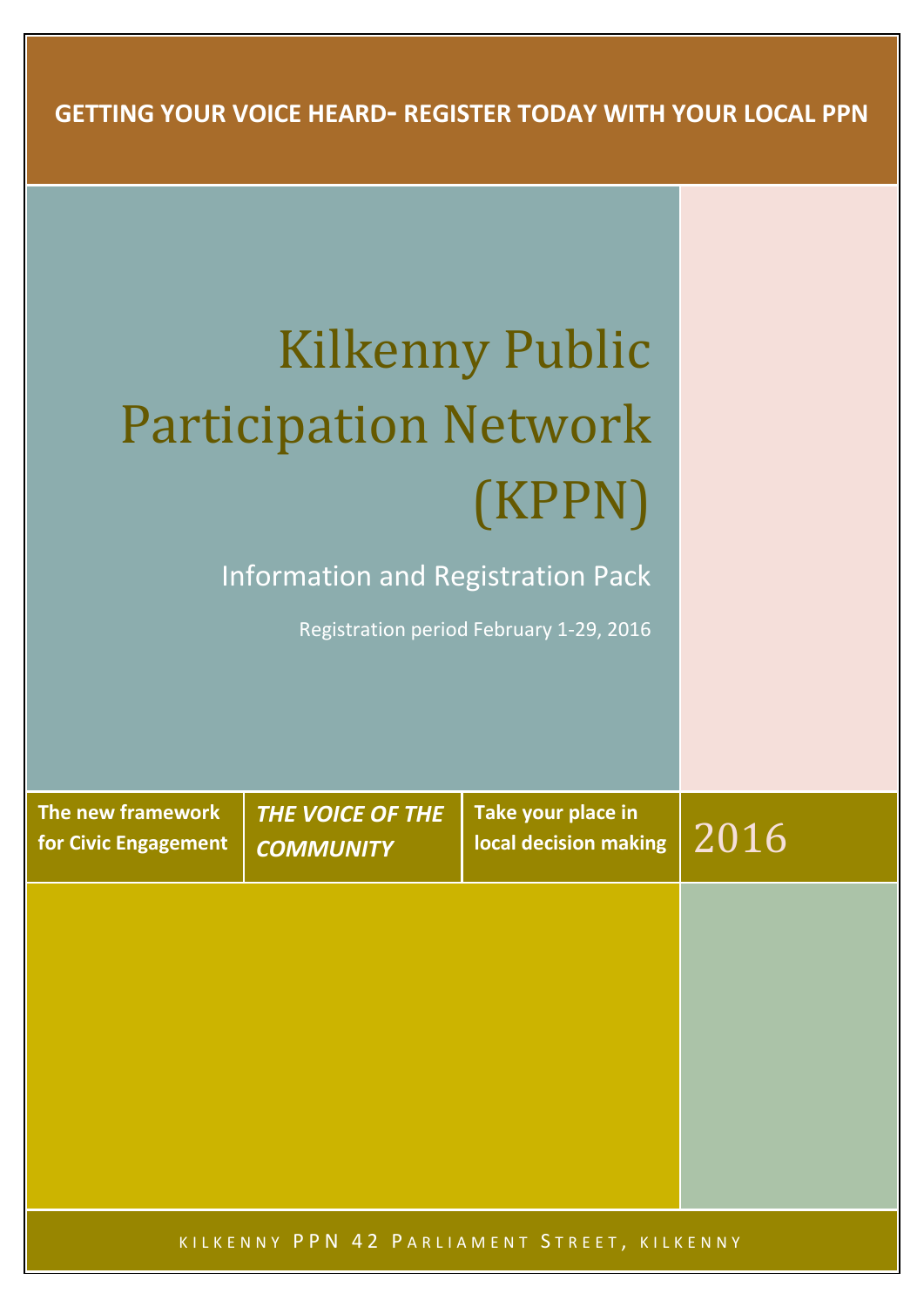**GETTING YOUR VOICE HEARD- REGISTER TODAY WITH YOUR LOCAL PPN**

# Kilkenny Public Participation Network (KPPN)

Information and Registration Pack

Registration period February 1-29, 2016

**The new framework for Civic Engagement** *THE VOICE OF THE COMMUNITY*

**Take your place in**   $\frac{1}{2016}$  local decision making  $2016$ 

KILKENNY PPN 42 PARLIAMENT STREET, KILKENNY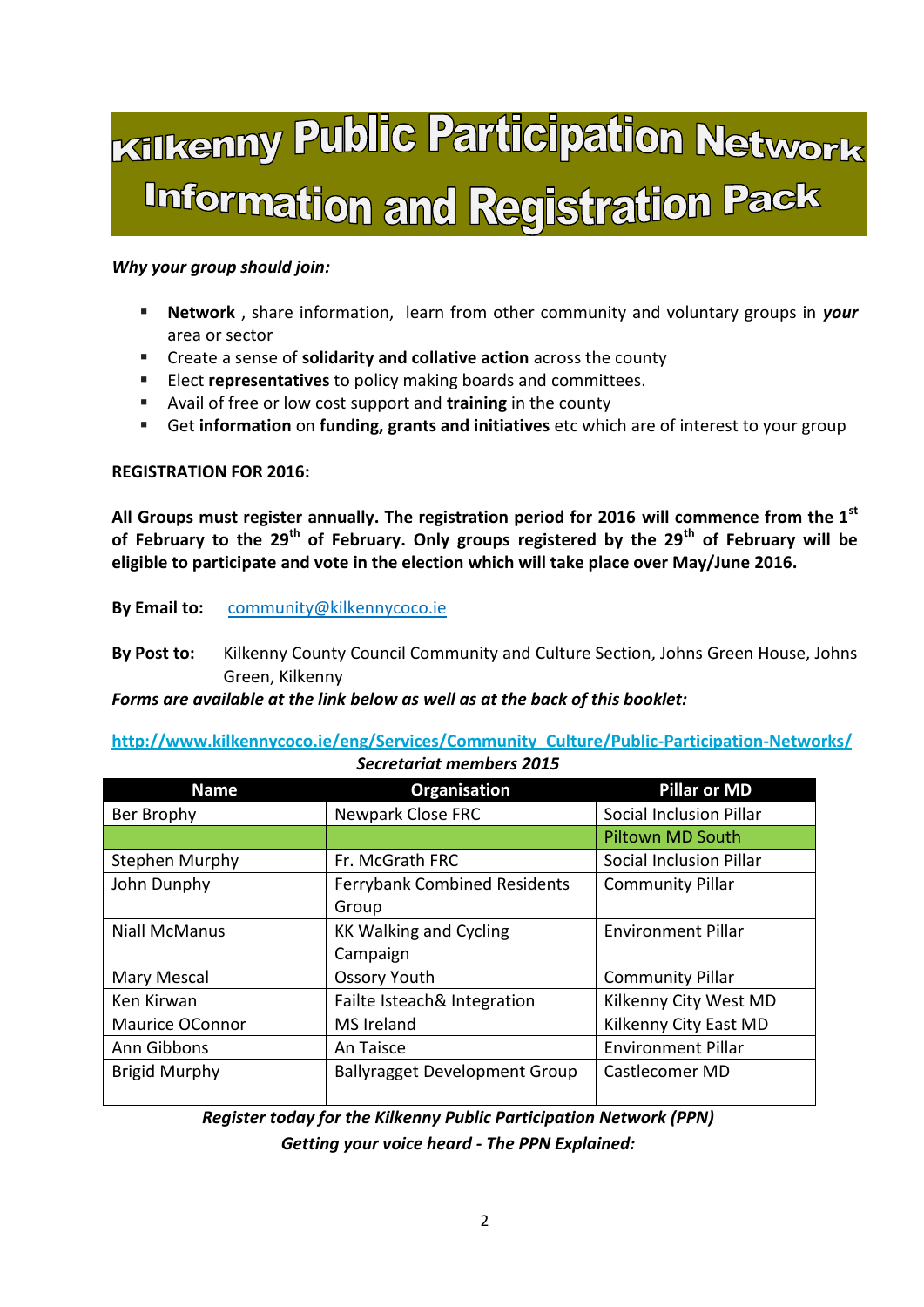## Kilkenny Public Participation Network **Information and Registration Pack**

#### *Why your group should join:*

- **Network** , share information, learn from other community and voluntary groups in *your* area or sector
- Create a sense of **solidarity and collative action** across the county
- Elect **representatives** to policy making boards and committees.
- Avail of free or low cost support and **training** in the county
- Get **information** on **funding, grants and initiatives** etc which are of interest to your group

#### **REGISTRATION FOR 2016:**

**All Groups must register annually. The registration period for 2016 will commence from the 1st of February to the 29th of February. Only groups registered by the 29th of February will be eligible to participate and vote in the election which will take place over May/June 2016.** 

**By Email to:** [community@kilkennycoco.ie](mailto:community@kilkennycoco.ie)

**By Post to:** Kilkenny County Council Community and Culture Section, Johns Green House, Johns Green, Kilkenny

*Forms are available at the link below as well as at the back of this booklet:*

**[http://www.kilkennycoco.ie/eng/Services/Community\\_Culture/Public-Participation-Networks/](http://www.kilkennycoco.ie/eng/Services/Community_Culture/Public-Participation-Networks/)** *Secretariat members 2015* 

| <b>Name</b>            | <b>Organisation</b>                  | <b>Pillar or MD</b>       |
|------------------------|--------------------------------------|---------------------------|
| Ber Brophy             | Newpark Close FRC                    | Social Inclusion Pillar   |
|                        |                                      | <b>Piltown MD South</b>   |
| Stephen Murphy         | Fr. McGrath FRC                      | Social Inclusion Pillar   |
| John Dunphy            | <b>Ferrybank Combined Residents</b>  | <b>Community Pillar</b>   |
|                        | Group                                |                           |
| <b>Niall McManus</b>   | <b>KK Walking and Cycling</b>        | <b>Environment Pillar</b> |
|                        | Campaign                             |                           |
| Mary Mescal            | <b>Ossory Youth</b>                  | <b>Community Pillar</b>   |
| Ken Kirwan             | Failte Isteach& Integration          | Kilkenny City West MD     |
| <b>Maurice OConnor</b> | MS Ireland                           | Kilkenny City East MD     |
| Ann Gibbons            | An Taisce                            | <b>Environment Pillar</b> |
| <b>Brigid Murphy</b>   | <b>Ballyragget Development Group</b> | Castlecomer MD            |
|                        |                                      |                           |

*Register today for the Kilkenny Public Participation Network (PPN) Getting your voice heard - The PPN Explained:*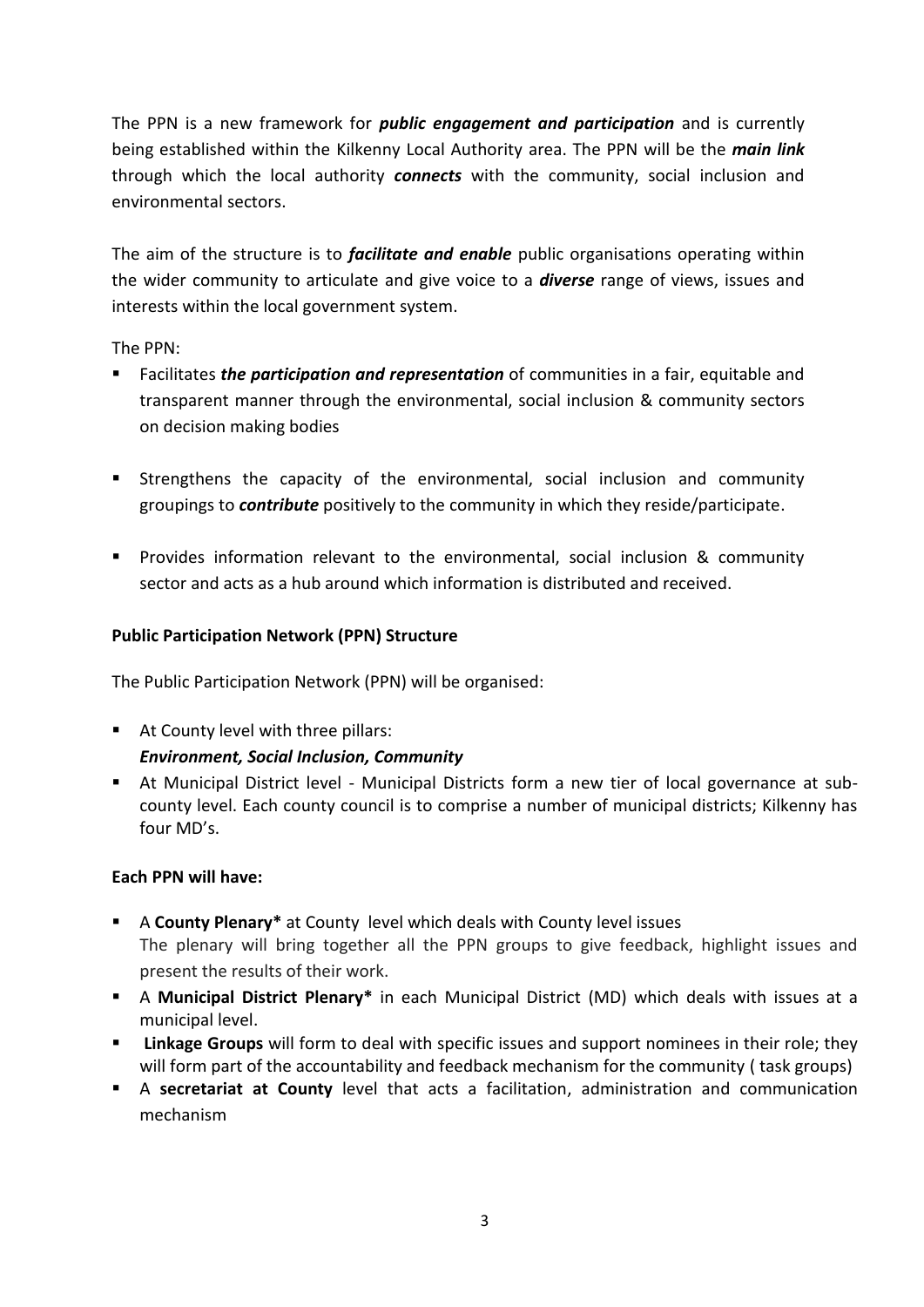The PPN is a new framework for *public engagement and participation* and is currently being established within the Kilkenny Local Authority area. The PPN will be the *main link* through which the local authority *connects* with the community, social inclusion and environmental sectors.

The aim of the structure is to *facilitate and enable* public organisations operating within the wider community to articulate and give voice to a *diverse* range of views, issues and interests within the local government system.

The PPN:

- Facilitates *the participation and representation* of communities in a fair, equitable and transparent manner through the environmental, social inclusion & community sectors on decision making bodies
- Strengthens the capacity of the environmental, social inclusion and community groupings to *contribute* positively to the community in which they reside/participate.
- Provides information relevant to the environmental, social inclusion & community sector and acts as a hub around which information is distributed and received.

## **Public Participation Network (PPN) Structure**

The Public Participation Network (PPN) will be organised:

- At County level with three pillars: *Environment, Social Inclusion, Community*
- At Municipal District level Municipal Districts form a new tier of local governance at subcounty level. Each county council is to comprise a number of municipal districts; Kilkenny has four MD's.

## **Each PPN will have:**

- A **County Plenary\*** at County level which deals with County level issues The plenary will bring together all the PPN groups to give feedback, highlight issues and present the results of their work.
- A **Municipal District Plenary\*** in each Municipal District (MD) which deals with issues at a municipal level.
- **Linkage Groups** will form to deal with specific issues and support nominees in their role; they will form part of the accountability and feedback mechanism for the community ( task groups)
- A **secretariat at County** level that acts a facilitation, administration and communication mechanism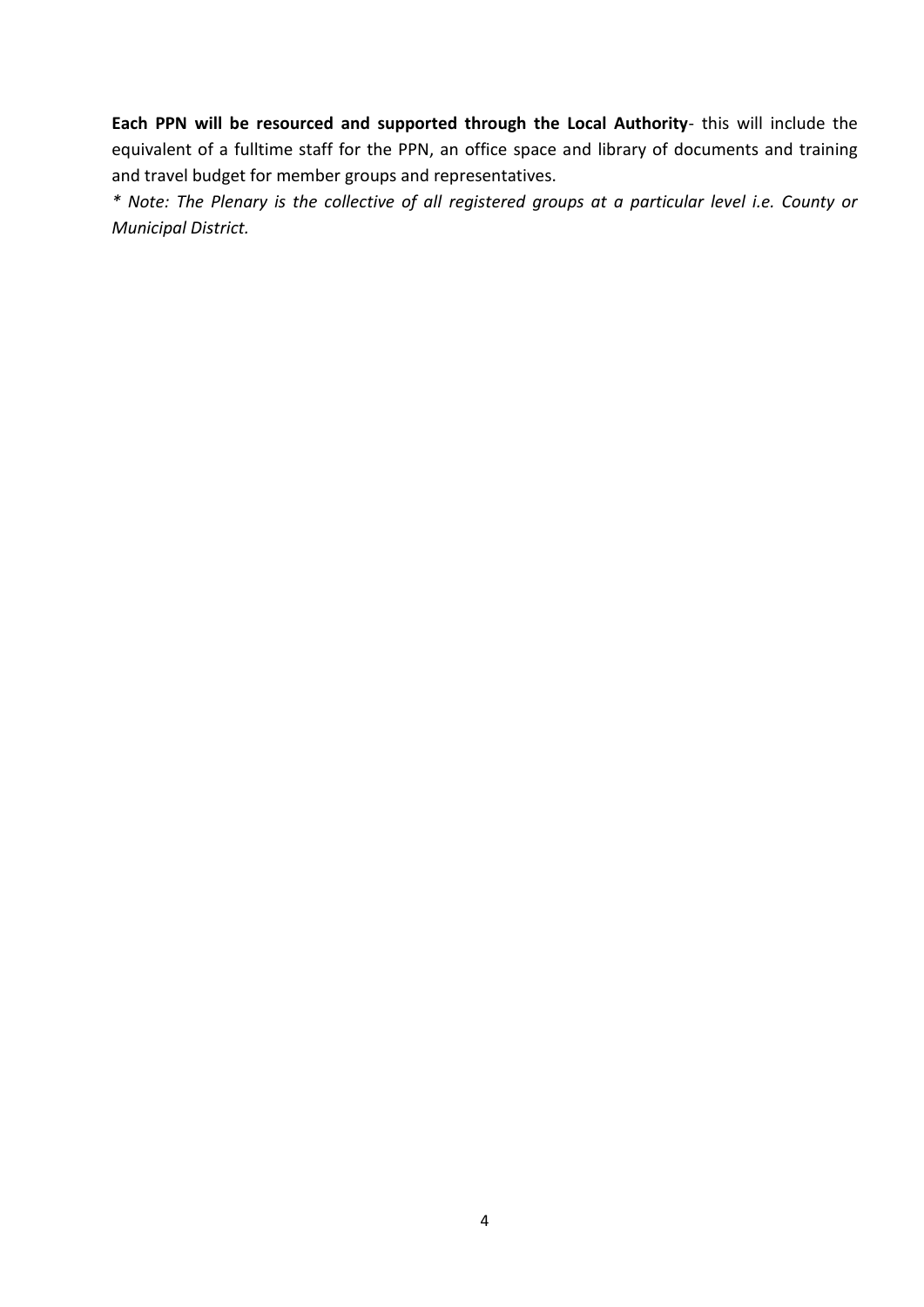**Each PPN will be resourced and supported through the Local Authority**- this will include the equivalent of a fulltime staff for the PPN, an office space and library of documents and training and travel budget for member groups and representatives.

*\* Note: The Plenary is the collective of all registered groups at a particular level i.e. County or Municipal District.*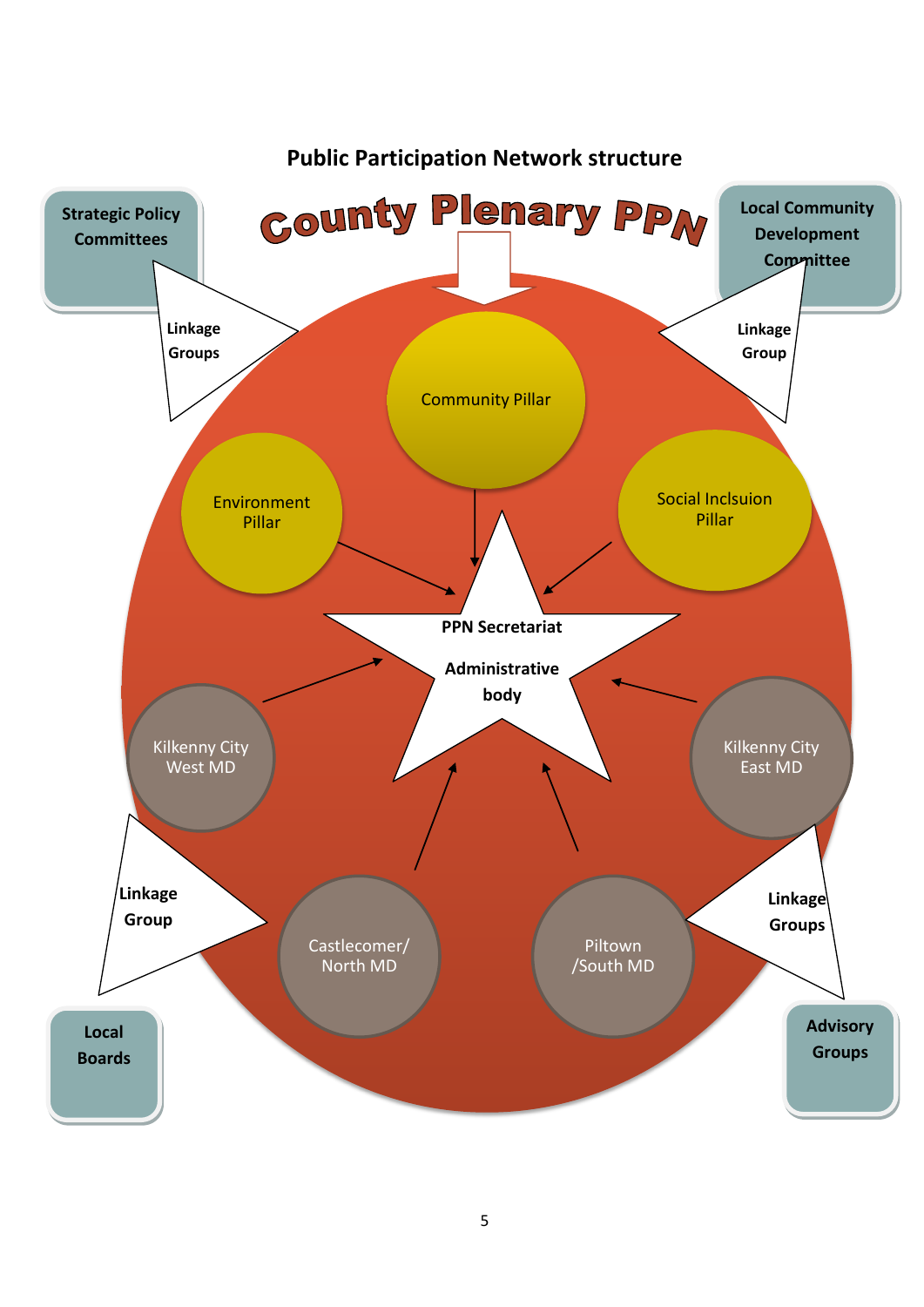

## **Public Participation Network structure**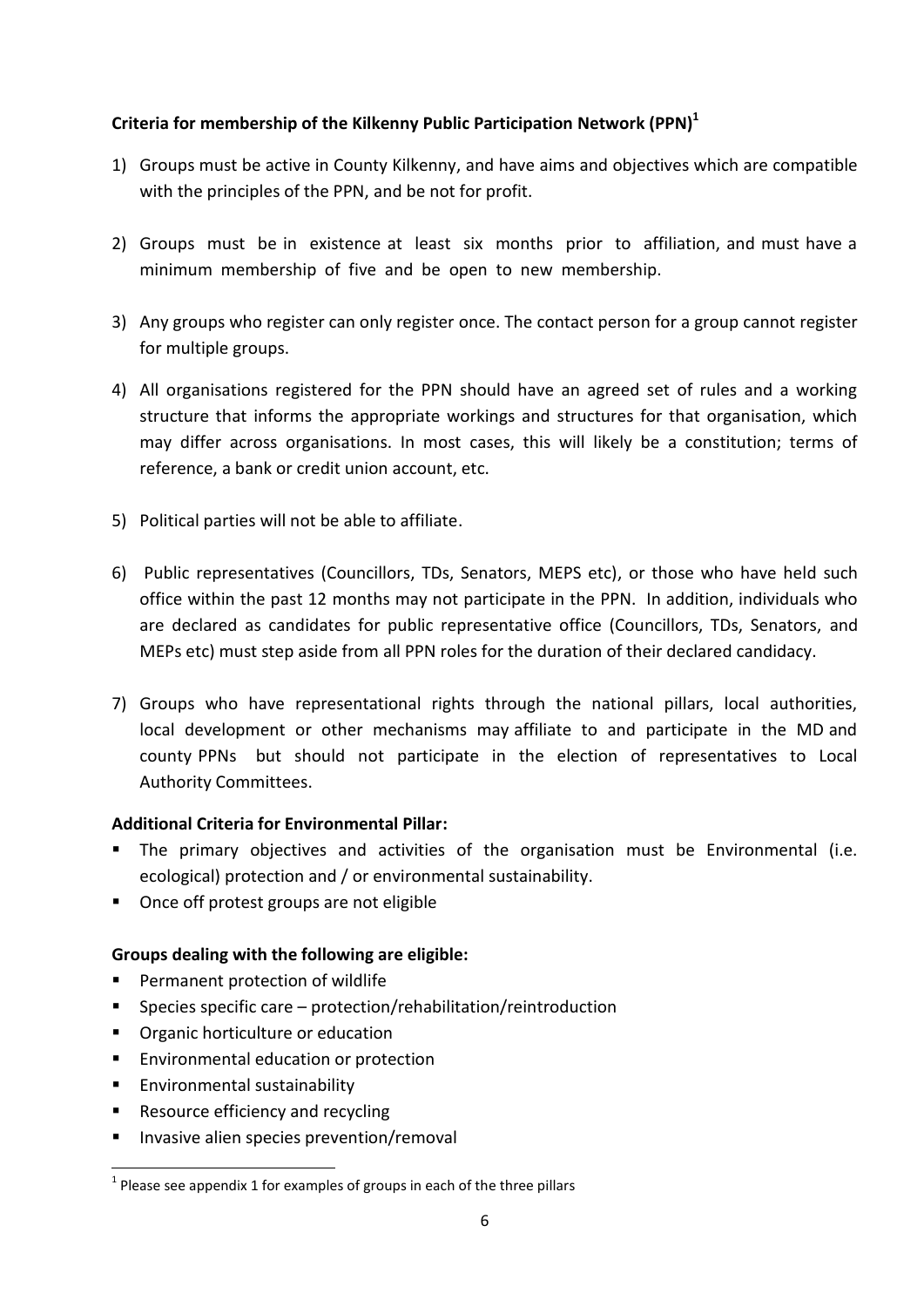## **Criteria for membership of the Kilkenny Public Participation Network (PPN)<sup>1</sup>**

- 1) Groups must be active in County Kilkenny, and have aims and objectives which are compatible with the principles of the PPN, and be not for profit.
- 2) Groups must be in existence at least six months prior to affiliation, and must have a minimum membership of five and be open to new membership.
- 3) Any groups who register can only register once. The contact person for a group cannot register for multiple groups.
- 4) All organisations registered for the PPN should have an agreed set of rules and a working structure that informs the appropriate workings and structures for that organisation, which may differ across organisations. In most cases, this will likely be a constitution; terms of reference, a bank or credit union account, etc.
- 5) Political parties will not be able to affiliate.
- 6) Public representatives (Councillors, TDs, Senators, MEPS etc), or those who have held such office within the past 12 months may not participate in the PPN. In addition, individuals who are declared as candidates for public representative office (Councillors, TDs, Senators, and MEPs etc) must step aside from all PPN roles for the duration of their declared candidacy.
- 7) Groups who have representational rights through the national pillars, local authorities, local development or other mechanisms may affiliate to and participate in the MD and county PPNs but should not participate in the election of representatives to Local Authority Committees.

## **Additional Criteria for Environmental Pillar:**

- The primary objectives and activities of the organisation must be Environmental (i.e. ecological) protection and / or environmental sustainability.
- Once off protest groups are not eligible

## **Groups dealing with the following are eligible:**

- **Permanent protection of wildlife**
- Species specific care protection/rehabilitation/reintroduction
- **•** Organic horticulture or education
- **Environmental education or protection**
- **Environmental sustainability**

**.** 

- Resource efficiency and recycling
- **Invasive alien species prevention/removal**

 $<sup>1</sup>$  Please see appendix 1 for examples of groups in each of the three pillars</sup>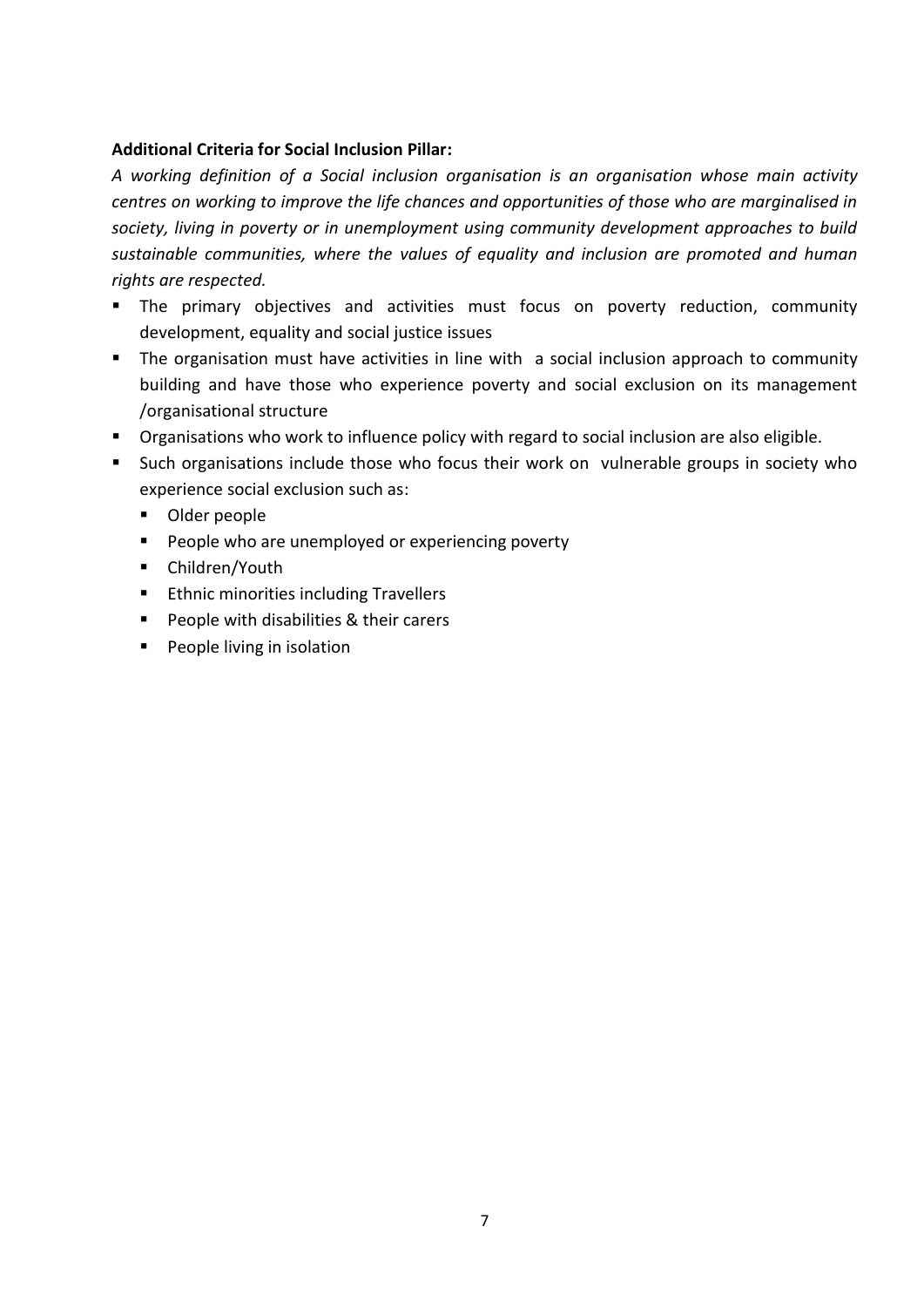## **Additional Criteria for Social Inclusion Pillar:**

*A working definition of a Social inclusion organisation is an organisation whose main activity centres on working to improve the life chances and opportunities of those who are marginalised in society, living in poverty or in unemployment using community development approaches to build sustainable communities, where the values of equality and inclusion are promoted and human rights are respected.* 

- **The primary objectives and activities must focus on poverty reduction, community** development, equality and social justice issues
- **The organisation must have activities in line with a social inclusion approach to community** building and have those who experience poverty and social exclusion on its management /organisational structure
- **•** Organisations who work to influence policy with regard to social inclusion are also eligible.
- Such organisations include those who focus their work on vulnerable groups in society who experience social exclusion such as:
	- **Dider people**
	- **People who are unemployed or experiencing poverty**
	- Children/Youth
	- **Ethnic minorities including Travellers**
	- **People with disabilities & their carers**
	- **People living in isolation**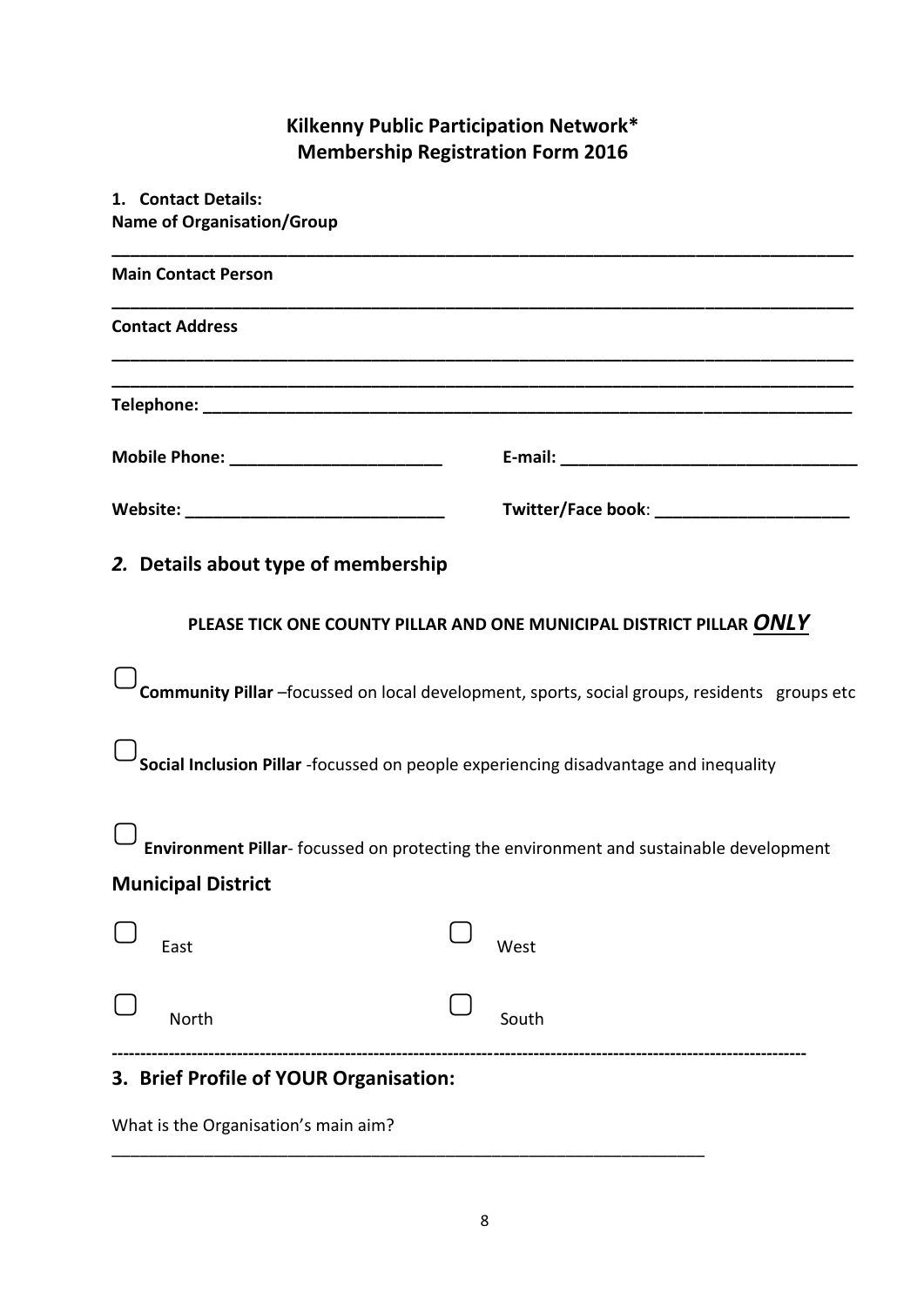## **Kilkenny Public Participation Network\* Membership Registration Form 2016**

| 1. Contact Details:                                                                  |                                                                                                 |
|--------------------------------------------------------------------------------------|-------------------------------------------------------------------------------------------------|
| <b>Name of Organisation/Group</b>                                                    |                                                                                                 |
| <b>Main Contact Person</b>                                                           |                                                                                                 |
| <b>Contact Address</b>                                                               |                                                                                                 |
|                                                                                      |                                                                                                 |
|                                                                                      |                                                                                                 |
|                                                                                      |                                                                                                 |
| 2. Details about type of membership                                                  |                                                                                                 |
|                                                                                      | PLEASE TICK ONE COUNTY PILLAR AND ONE MUNICIPAL DISTRICT PILLAR ONLY                            |
|                                                                                      | Community Pillar -focussed on local development, sports, social groups, residents groups etc    |
| Social Inclusion Pillar -focussed on people experiencing disadvantage and inequality |                                                                                                 |
|                                                                                      | L <b>Environment Pillar</b> -focussed on protecting the environment and sustainable development |
| <b>Municipal District</b>                                                            |                                                                                                 |
| East                                                                                 | West                                                                                            |
| North                                                                                | South                                                                                           |
| 3. Brief Profile of YOUR Organisation:                                               |                                                                                                 |

What is the Organisation's main aim?

\_\_\_\_\_\_\_\_\_\_\_\_\_\_\_\_\_\_\_\_\_\_\_\_\_\_\_\_\_\_\_\_\_\_\_\_\_\_\_\_\_\_\_\_\_\_\_\_\_\_\_\_\_\_\_\_\_\_\_\_\_\_\_\_